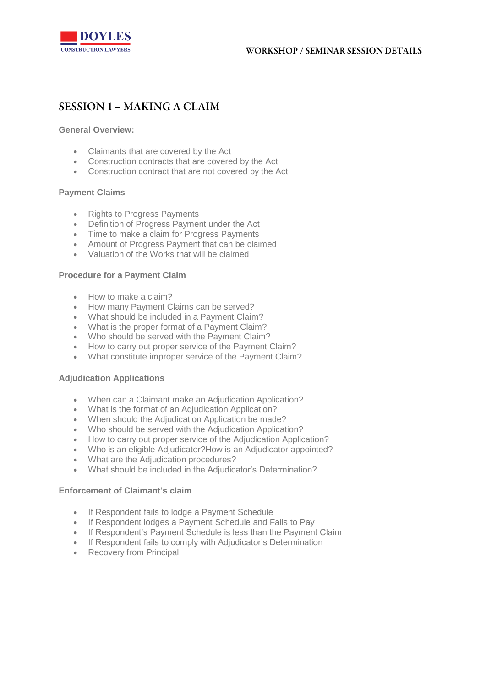

# **SESSION 1 - MAKING A CLAIM**

**General Overview:**

- Claimants that are covered by the Act
- Construction contracts that are covered by the Act
- Construction contract that are not covered by the Act

# **Payment Claims**

- Rights to Progress Payments
- Definition of Progress Payment under the Act
- Time to make a claim for Progress Payments
- Amount of Progress Payment that can be claimed
- Valuation of the Works that will be claimed

# **Procedure for a Payment Claim**

- How to make a claim?
- How many Payment Claims can be served?
- What should be included in a Payment Claim?
- What is the proper format of a Payment Claim?
- Who should be served with the Payment Claim?
- How to carry out proper service of the Payment Claim?
- What constitute improper service of the Payment Claim?

## **Adjudication Applications**

- When can a Claimant make an Adjudication Application?
- What is the format of an Adjudication Application?
- When should the Adjudication Application be made?
- Who should be served with the Adjudication Application?
- How to carry out proper service of the Adjudication Application?
- Who is an eligible Adjudicator?How is an Adjudicator appointed?
- What are the Adjudication procedures?
- What should be included in the Adjudicator's Determination?

## **Enforcement of Claimant's claim**

- If Respondent fails to lodge a Payment Schedule
- If Respondent lodges a Payment Schedule and Fails to Pay
- If Respondent's Payment Schedule is less than the Payment Claim
- If Respondent fails to comply with Adjudicator's Determination
- Recovery from Principal